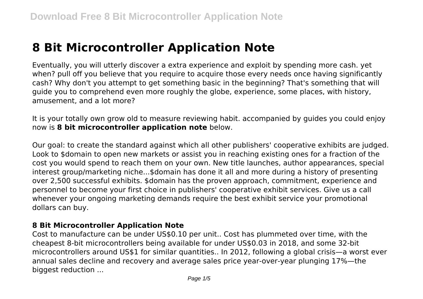# **8 Bit Microcontroller Application Note**

Eventually, you will utterly discover a extra experience and exploit by spending more cash. yet when? pull off you believe that you require to acquire those every needs once having significantly cash? Why don't you attempt to get something basic in the beginning? That's something that will guide you to comprehend even more roughly the globe, experience, some places, with history, amusement, and a lot more?

It is your totally own grow old to measure reviewing habit. accompanied by guides you could enjoy now is **8 bit microcontroller application note** below.

Our goal: to create the standard against which all other publishers' cooperative exhibits are judged. Look to \$domain to open new markets or assist you in reaching existing ones for a fraction of the cost you would spend to reach them on your own. New title launches, author appearances, special interest group/marketing niche...\$domain has done it all and more during a history of presenting over 2,500 successful exhibits. \$domain has the proven approach, commitment, experience and personnel to become your first choice in publishers' cooperative exhibit services. Give us a call whenever your ongoing marketing demands require the best exhibit service your promotional dollars can buy.

## **8 Bit Microcontroller Application Note**

Cost to manufacture can be under US\$0.10 per unit.. Cost has plummeted over time, with the cheapest 8-bit microcontrollers being available for under US\$0.03 in 2018, and some 32-bit microcontrollers around US\$1 for similar quantities.. In 2012, following a global crisis—a worst ever annual sales decline and recovery and average sales price year-over-year plunging 17%—the biggest reduction ...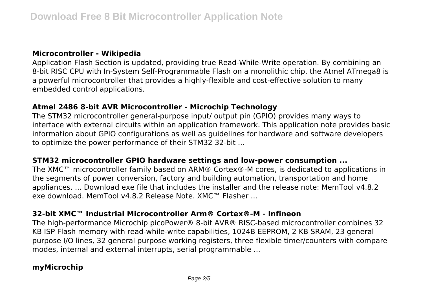## **Microcontroller - Wikipedia**

Application Flash Section is updated, providing true Read-While-Write operation. By combining an 8-bit RISC CPU with In-System Self-Programmable Flash on a monolithic chip, the Atmel ATmega8 is a powerful microcontroller that provides a highly-flexible and cost-effective solution to many embedded control applications.

## **Atmel 2486 8-bit AVR Microcontroller - Microchip Technology**

The STM32 microcontroller general-purpose input/ output pin (GPIO) provides many ways to interface with external circuits within an application framework. This application note provides basic information about GPIO configurations as well as guidelines for hardware and software developers to optimize the power performance of their STM32 32-bit ...

#### **STM32 microcontroller GPIO hardware settings and low-power consumption ...**

The XMC™ microcontroller family based on ARM® Cortex®-M cores, is dedicated to applications in the segments of power conversion, factory and building automation, transportation and home appliances. ... Download exe file that includes the installer and the release note: MemTool v4.8.2 exe download. MemTool v4.8.2 Release Note. XMC™ Flasher ...

## **32-bit XMC™ Industrial Microcontroller Arm® Cortex®-M - Infineon**

The high-performance Microchip picoPower® 8-bit AVR® RISC-based microcontroller combines 32 KB ISP Flash memory with read-while-write capabilities, 1024B EEPROM, 2 KB SRAM, 23 general purpose I/O lines, 32 general purpose working registers, three flexible timer/counters with compare modes, internal and external interrupts, serial programmable ...

# **myMicrochip**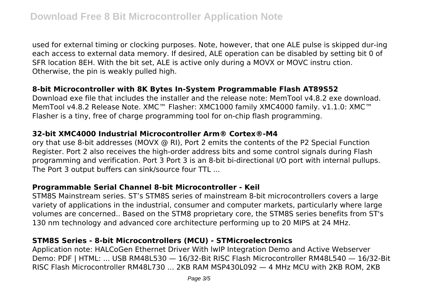used for external timing or clocking purposes. Note, however, that one ALE pulse is skipped dur-ing each access to external data memory. If desired, ALE operation can be disabled by setting bit 0 of SFR location 8EH. With the bit set, ALE is active only during a MOVX or MOVC instru ction. Otherwise, the pin is weakly pulled high.

# **8-bit Microcontroller with 8K Bytes In-System Programmable Flash AT89S52**

Download exe file that includes the installer and the release note: MemTool v4.8.2 exe download. MemTool v4.8.2 Release Note. XMC™ Flasher: XMC1000 family XMC4000 family. v1.1.0: XMC™ Flasher is a tiny, free of charge programming tool for on-chip flash programming.

#### **32-bit XMC4000 Industrial Microcontroller Arm® Cortex®-M4**

ory that use 8-bit addresses (MOVX @ RI), Port 2 emits the contents of the P2 Special Function Register. Port 2 also receives the high-order address bits and some control signals during Flash programming and verification. Port 3 Port 3 is an 8-bit bi-directional I/O port with internal pullups. The Port 3 output buffers can sink/source four TTL ...

## **Programmable Serial Channel 8-bit Microcontroller - Keil**

STM8S Mainstream series. ST's STM8S series of mainstream 8-bit microcontrollers covers a large variety of applications in the industrial, consumer and computer markets, particularly where large volumes are concerned.. Based on the STM8 proprietary core, the STM8S series benefits from ST's 130 nm technology and advanced core architecture performing up to 20 MIPS at 24 MHz.

## **STM8S Series - 8-bit Microcontrollers (MCU) - STMicroelectronics**

Application note: HALCoGen Ethernet Driver With lwIP Integration Demo and Active Webserver Demo: PDF | HTML: ... USB RM48L530 — 16/32-Bit RISC Flash Microcontroller RM48L540 — 16/32-Bit RISC Flash Microcontroller RM48L730 ... 2KB RAM MSP430L092 — 4 MHz MCU with 2KB ROM, 2KB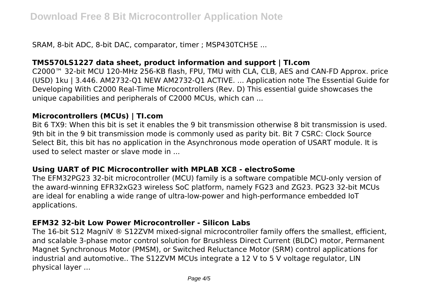SRAM, 8-bit ADC, 8-bit DAC, comparator, timer ; MSP430TCH5E ...

# **TMS570LS1227 data sheet, product information and support | TI.com**

C2000™ 32-bit MCU 120-MHz 256-KB flash, FPU, TMU with CLA, CLB, AES and CAN-FD Approx. price (USD) 1ku | 3.446. AM2732-Q1 NEW AM2732-Q1 ACTIVE. ... Application note The Essential Guide for Developing With C2000 Real-Time Microcontrollers (Rev. D) This essential guide showcases the unique capabilities and peripherals of C2000 MCUs, which can ...

## **Microcontrollers (MCUs) | TI.com**

Bit 6 TX9: When this bit is set it enables the 9 bit transmission otherwise 8 bit transmission is used. 9th bit in the 9 bit transmission mode is commonly used as parity bit. Bit 7 CSRC: Clock Source Select Bit, this bit has no application in the Asynchronous mode operation of USART module. It is used to select master or slave mode in ...

## **Using UART of PIC Microcontroller with MPLAB XC8 - electroSome**

The EFM32PG23 32-bit microcontroller (MCU) family is a software compatible MCU-only version of the award-winning EFR32xG23 wireless SoC platform, namely FG23 and ZG23. PG23 32-bit MCUs are ideal for enabling a wide range of ultra-low-power and high-performance embedded IoT applications.

## **EFM32 32-bit Low Power Microcontroller - Silicon Labs**

The 16-bit S12 MagniV ® S12ZVM mixed-signal microcontroller family offers the smallest, efficient, and scalable 3-phase motor control solution for Brushless Direct Current (BLDC) motor, Permanent Magnet Synchronous Motor (PMSM), or Switched Reluctance Motor (SRM) control applications for industrial and automotive.. The S12ZVM MCUs integrate a 12 V to 5 V voltage regulator, LIN physical layer ...